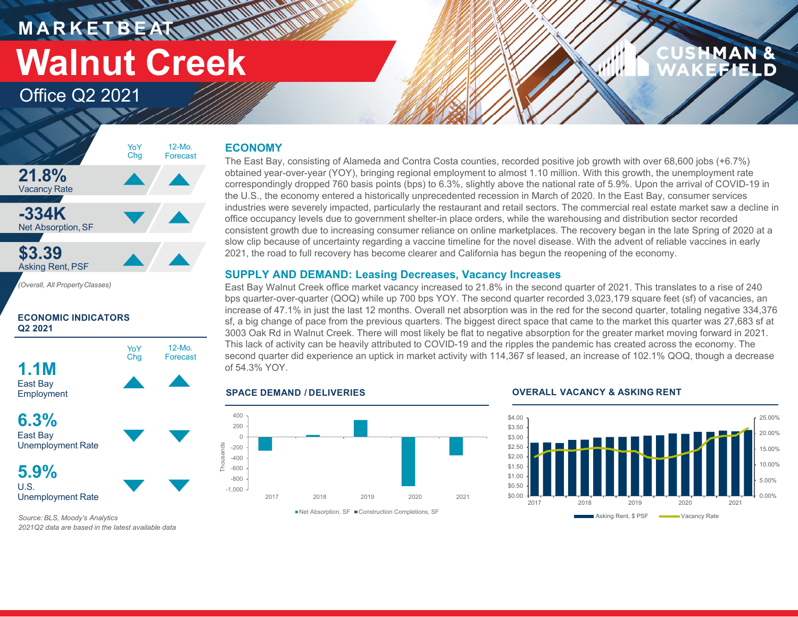**M A R K E T B E AT Walnut Creek**

### Office Q2 2021

## MAN



#### **ECONOMIC INDICATORS Q2 2021**



#### **ECONOMY**

**HARRY AND** 

The East Bay, consisting of Alameda and Contra Costa counties, recorded positive job growth with over 68,600 jobs (+6.7%) obtained year-over-year (YOY), bringing regional employment to almost 1.10 million. With this growth, the unemployment rate correspondingly dropped 760 basis points (bps) to 6.3%, slightly above the national rate of 5.9%. Upon the arrival of COVID-19 in the U.S., the economy entered a historically unprecedented recession in March of 2020. In the East Bay, consumer services industries were severely impacted, particularly the restaurant and retail sectors. The commercial real estate market saw a decline in office occupancy levels due to government shelter-in place orders, while the warehousing and distribution sector recorded consistent growth due to increasing consumer reliance on online marketplaces. The recovery began in the late Spring of 2020 at a slow clip because of uncertainty regarding a vaccine timeline for the novel disease. With the advent of reliable vaccines in early 2021, the road to full recovery has become clearer and California has begun the reopening of the economy.

#### **SUPPLY AND DEMAND: Leasing Decreases, Vacancy Increases**

East Bay Walnut Creek office market vacancy increased to 21.8% in the second quarter of 2021. This translates to a rise of 240 bps quarter-over-quarter (QOQ) while up 700 bps YOY. The second quarter recorded 3,023,179 square feet (sf) of vacancies, an increase of 47.1% in just the last 12 months. Overall net absorption was in the red for the second quarter, totaling negative 334,376 sf, a big change of pace from the previous quarters. The biggest direct space that came to the market this quarter was 27,683 sf at 3003 Oak Rd in Walnut Creek. There will most likely be flat to negative absorption for the greater market moving forward in 2021. This lack of activity can be heavily attributed to COVID-19 and the ripples the pandemic has created across the economy. The second quarter did experience an uptick in market activity with 114,367 sf leased, an increase of 102.1% QOQ, though a decrease of 54.3% YOY.

#### **SPACE DEMAND / DELIVERIES**



#### **OVERALL VACANCY & ASKING RENT**



*Source: BLS, Moody's Analytics 2021Q2 data are based in the latest available data*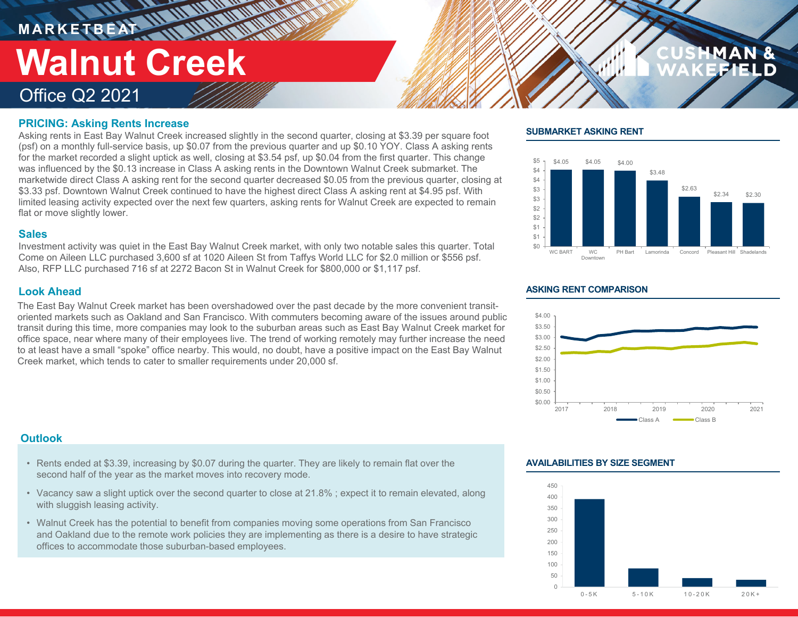**M A R K E T B E AT**

# **Walnut Creek**

### Office Q2 2021

#### **PRICING: Asking Rents Increase**

Asking rents in East Bay Walnut Creek increased slightly in the second quarter, closing at \$3.39 per square foot (psf) on a monthly full-service basis, up \$0.07 from the previous quarter and up \$0.10 YOY. Class A asking rents for the market recorded a slight uptick as well, closing at \$3.54 psf, up \$0.04 from the first quarter. This change was influenced by the \$0.13 increase in Class A asking rents in the Downtown Walnut Creek submarket. The marketwide direct Class A asking rent for the second quarter decreased \$0.05 from the previous quarter, closing at \$3.33 psf. Downtown Walnut Creek continued to have the highest direct Class A asking rent at \$4.95 psf. With limited leasing activity expected over the next few quarters, asking rents for Walnut Creek are expected to remain flat or move slightly lower.

#### **Sales**

Investment activity was quiet in the East Bay Walnut Creek market, with only two notable sales this quarter. Total Come on Aileen LLC purchased 3,600 sf at 1020 Aileen St from Taffys World LLC for \$2.0 million or \$556 psf. Also, RFP LLC purchased 716 sf at 2272 Bacon St in Walnut Creek for \$800,000 or \$1,117 psf.

#### **Look Ahead**

The East Bay Walnut Creek market has been overshadowed over the past decade by the more convenient transitoriented markets such as Oakland and San Francisco. With commuters becoming aware of the issues around public transit during this time, more companies may look to the suburban areas such as East Bay Walnut Creek market for office space, near where many of their employees live. The trend of working remotely may further increase the need to at least have a small "spoke" office nearby. This would, no doubt, have a positive impact on the East Bay Walnut Creek market, which tends to cater to smaller requirements under 20,000 sf.

#### **Outlook**

- Rents ended at \$3.39, increasing by \$0.07 during the quarter. They are likely to remain flat over the second half of the year as the market moves into recovery mode.
- Vacancy saw a slight uptick over the second quarter to close at 21.8% ; expect it to remain elevated, along with sluggish leasing activity.
- Walnut Creek has the potential to benefit from companies moving some operations from San Francisco and Oakland due to the remote work policies they are implementing as there is a desire to have strategic offices to accommodate those suburban-based employees.

#### **SUBMARKET ASKING RENT**



#### **ASKING RENT COMPARISON**



#### **AVAILABILITIES BY SIZE SEGMENT**

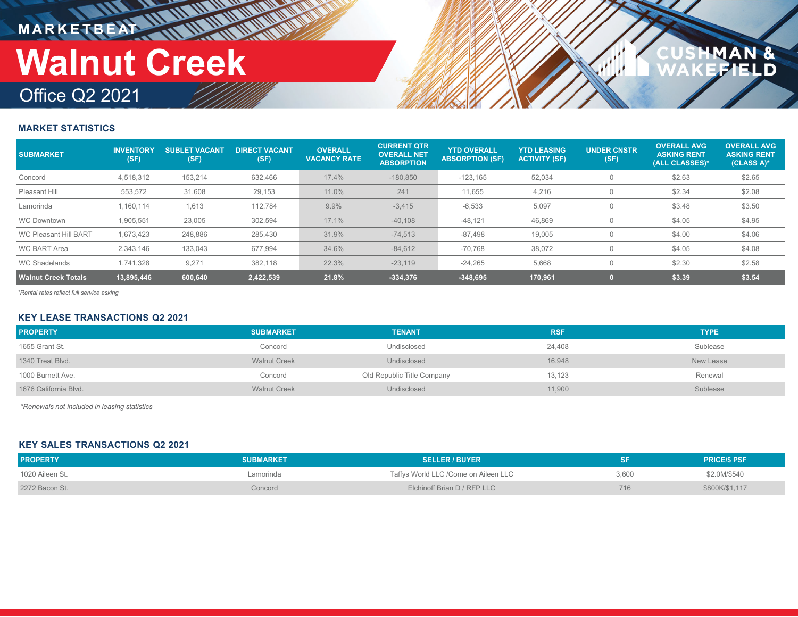**M A R K E T B E AT**

# **Walnut Creek**

### Office Q2 2021

## N &<br>ELD

#### **MARKET STATISTICS**

| <b>SUBMARKET</b>             | <b>INVENTORY</b><br>(SF) | <b>SUBLET VACANT</b><br>(SF) | <b>DIRECT VACANT</b><br>(SF) | <b>OVERALL</b><br><b>VACANCY RATE</b> | <b>CURRENT QTR</b><br><b>OVERALL NET</b><br><b>ABSORPTION</b> | <b>YTD OVERALL</b><br><b>ABSORPTION (SF)</b> | <b>YTD LEASING</b><br><b>ACTIVITY (SF)</b> | <b>UNDER CNSTR</b><br>(SF) | <b>OVERALL AVG</b><br><b>ASKING RENT</b><br>(ALL CLASSES)* | <b>OVERALL AVG</b><br><b>ASKING RENT</b><br>(CLASS A)* |
|------------------------------|--------------------------|------------------------------|------------------------------|---------------------------------------|---------------------------------------------------------------|----------------------------------------------|--------------------------------------------|----------------------------|------------------------------------------------------------|--------------------------------------------------------|
| Concord                      | 4,518,312                | 153,214                      | 632,466                      | 17.4%                                 | $-180,850$                                                    | $-123,165$                                   | 52,034                                     | $\Omega$                   | \$2.63                                                     | \$2.65                                                 |
| Pleasant Hill                | 553,572                  | 31,608                       | 29,153                       | 11.0%                                 | 241                                                           | 11,655                                       | 4,216                                      |                            | \$2.34                                                     | \$2.08                                                 |
| Lamorinda                    | 1.160.114                | 1.613                        | 112,784                      | 9.9%                                  | $-3,415$                                                      | $-6,533$                                     | 5,097                                      | 0                          | \$3.48                                                     | \$3.50                                                 |
| <b>WC Downtown</b>           | 1,905,551                | 23,005                       | 302,594                      | 17.1%                                 | $-40,108$                                                     | $-48,121$                                    | 46,869                                     | $\Omega$                   | \$4.05                                                     | \$4.95                                                 |
| <b>WC Pleasant Hill BART</b> | 1.673.423                | 248.886                      | 285,430                      | 31.9%                                 | $-74.513$                                                     | $-87.498$                                    | 19.005                                     | $\Omega$                   | \$4.00                                                     | \$4.06                                                 |
| <b>WC BART Area</b>          | 2.343.146                | 133.043                      | 677,994                      | 34.6%                                 | $-84,612$                                                     | $-70,768$                                    | 38,072                                     |                            | \$4.05                                                     | \$4.08                                                 |
| <b>WC Shadelands</b>         | 1.741.328                | 9.271                        | 382,118                      | 22.3%                                 | $-23.119$                                                     | $-24,265$                                    | 5,668                                      | $\Omega$                   | \$2.30                                                     | \$2.58                                                 |
| Walnut Creek Totals <b>\</b> | 13,895,446               | 600,640                      | 2,422,539                    | 21.8%                                 | $-334.376$                                                    | $-348,695$                                   | 170,961                                    |                            | \$3.39                                                     | \$3.54                                                 |

*\*Rental rates reflect full service asking*

#### **KEY LEASE TRANSACTIONS Q2 2021**

| <b>PROPERTY</b>       | <b>SUBMARKET</b>    | <b>TENANT</b>              | <b>RSF</b> | <b>TYPE</b> |
|-----------------------|---------------------|----------------------------|------------|-------------|
| 1655 Grant St.        | Concord             | Undisclosed                | 24,408     | Sublease    |
| 1340 Treat Blvd.      | <b>Walnut Creek</b> | Undisclosed                | 16,948     | New Lease   |
| 1000 Burnett Ave.     | Concord             | Old Republic Title Company | 13,123     | Renewal     |
| 1676 California Blvd. | <b>Walnut Creek</b> | Undisclosed                | 11,900     | Sublease    |

*\*Renewals not included in leasing statistics*

#### **KEY SALES TRANSACTIONS Q2 2021**

| <b>PROPERTY</b> | <b>SUBMARKET</b> | <b>SELLER / BUYER</b>                |       | <b>PRICE/S PSF</b> |
|-----------------|------------------|--------------------------------------|-------|--------------------|
| 1020 Aileen St. | amorinda.        | Taffys World LLC /Come on Aileen LLC | 3.600 | \$2.0M/\$540       |
| 2272 Bacon St.  | Concord          | Elchinoff Brian D / RFP LLC          | 716   | \$800K/\$1,117     |